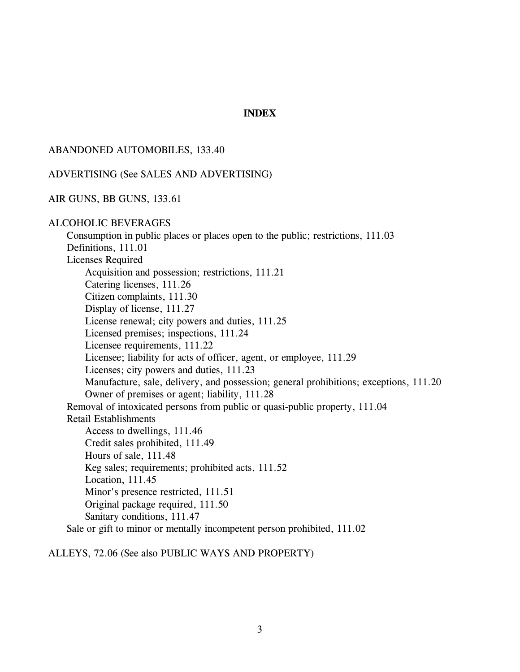## **INDEX**

#### ABANDONED AUTOMOBILES, 133.40

#### ADVERTISING (See SALES AND ADVERTISING)

#### AIR GUNS, BB GUNS, 133.61

#### ALCOHOLIC BEVERAGES

Consumption in public places or places open to the public; restrictions, 111.03 Definitions, 111.01 Licenses Required Acquisition and possession; restrictions, 111.21 Catering licenses, 111.26 Citizen complaints, 111.30 Display of license, 111.27 License renewal; city powers and duties, 111.25 Licensed premises; inspections, 111.24 Licensee requirements, 111.22 Licensee; liability for acts of officer, agent, or employee, 111.29 Licenses; city powers and duties, 111.23 Manufacture, sale, delivery, and possession; general prohibitions; exceptions, 111.20 Owner of premises or agent; liability, 111.28 Removal of intoxicated persons from public or quasi-public property, 111.04 Retail Establishments Access to dwellings, 111.46 Credit sales prohibited, 111.49 Hours of sale, 111.48 Keg sales; requirements; prohibited acts, 111.52 Location, 111.45 Minor's presence restricted, 111.51 Original package required, 111.50 Sanitary conditions, 111.47 Sale or gift to minor or mentally incompetent person prohibited, 111.02

ALLEYS, 72.06 (See also PUBLIC WAYS AND PROPERTY)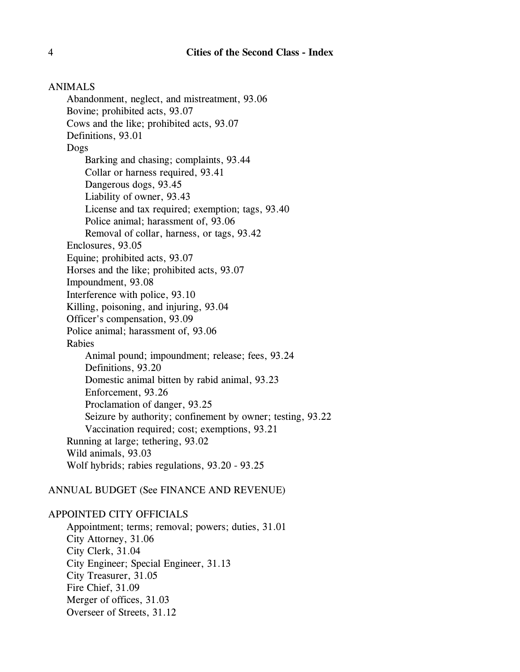#### ANIMALS

Abandonment, neglect, and mistreatment, 93.06 Bovine; prohibited acts, 93.07 Cows and the like; prohibited acts, 93.07 Definitions, 93.01 Dogs Barking and chasing; complaints, 93.44 Collar or harness required, 93.41 Dangerous dogs, 93.45 Liability of owner, 93.43 License and tax required; exemption; tags, 93.40 Police animal; harassment of, 93.06 Removal of collar, harness, or tags, 93.42 Enclosures, 93.05 Equine; prohibited acts, 93.07 Horses and the like; prohibited acts, 93.07 Impoundment, 93.08 Interference with police, 93.10 Killing, poisoning, and injuring, 93.04 Officer's compensation, 93.09 Police animal; harassment of, 93.06 Rabies Animal pound; impoundment; release; fees, 93.24 Definitions, 93.20 Domestic animal bitten by rabid animal, 93.23 Enforcement, 93.26 Proclamation of danger, 93.25 Seizure by authority; confinement by owner; testing, 93.22 Vaccination required; cost; exemptions, 93.21 Running at large; tethering, 93.02 Wild animals, 93.03 Wolf hybrids; rabies regulations, 93.20 - 93.25

## ANNUAL BUDGET (See FINANCE AND REVENUE)

## APPOINTED CITY OFFICIALS

Appointment; terms; removal; powers; duties, 31.01 City Attorney, 31.06 City Clerk, 31.04 City Engineer; Special Engineer, 31.13 City Treasurer, 31.05 Fire Chief, 31.09 Merger of offices, 31.03 Overseer of Streets, 31.12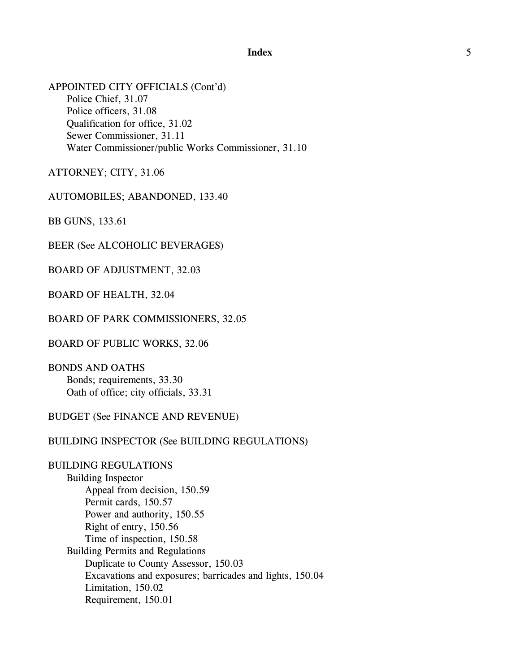APPOINTED CITY OFFICIALS (Cont'd) Police Chief, 31.07 Police officers, 31.08 Qualification for office, 31.02 Sewer Commissioner, 31.11 Water Commissioner/public Works Commissioner, 31.10

ATTORNEY; CITY, 31.06

AUTOMOBILES; ABANDONED, 133.40

BB GUNS, 133.61

BEER (See ALCOHOLIC BEVERAGES)

BOARD OF ADJUSTMENT, 32.03

BOARD OF HEALTH, 32.04

BOARD OF PARK COMMISSIONERS, 32.05

BOARD OF PUBLIC WORKS, 32.06

BONDS AND OATHS Bonds; requirements, 33.30 Oath of office; city officials, 33.31

## BUDGET (See FINANCE AND REVENUE)

#### BUILDING INSPECTOR (See BUILDING REGULATIONS)

# BUILDING REGULATIONS

Building Inspector Appeal from decision, 150.59 Permit cards, 150.57 Power and authority, 150.55 Right of entry, 150.56 Time of inspection, 150.58 Building Permits and Regulations Duplicate to County Assessor, 150.03 Excavations and exposures; barricades and lights, 150.04 Limitation, 150.02 Requirement, 150.01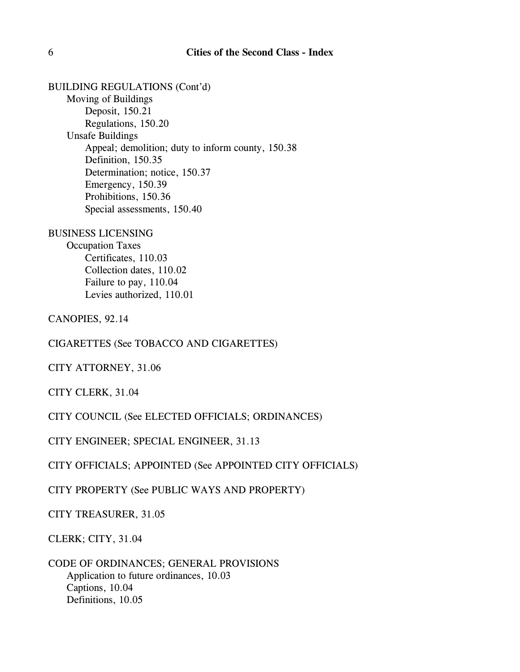BUILDING REGULATIONS (Cont'd) Moving of Buildings Deposit, 150.21 Regulations, 150.20 Unsafe Buildings Appeal; demolition; duty to inform county, 150.38 Definition, 150.35 Determination; notice, 150.37 Emergency, 150.39 Prohibitions, 150.36 Special assessments, 150.40

BUSINESS LICENSING Occupation Taxes Certificates, 110.03 Collection dates, 110.02 Failure to pay, 110.04 Levies authorized, 110.01

CANOPIES, 92.14

CIGARETTES (See TOBACCO AND CIGARETTES)

CITY ATTORNEY, 31.06

CITY CLERK, 31.04

CITY COUNCIL (See ELECTED OFFICIALS; ORDINANCES)

CITY ENGINEER; SPECIAL ENGINEER, 31.13

CITY OFFICIALS; APPOINTED (See APPOINTED CITY OFFICIALS)

CITY PROPERTY (See PUBLIC WAYS AND PROPERTY)

CITY TREASURER, 31.05

CLERK; CITY, 31.04

CODE OF ORDINANCES; GENERAL PROVISIONS Application to future ordinances, 10.03 Captions, 10.04 Definitions, 10.05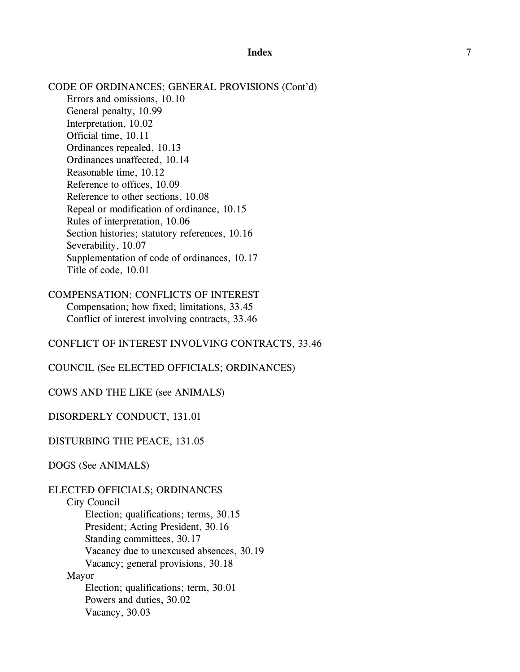CODE OF ORDINANCES; GENERAL PROVISIONS (Cont'd) Errors and omissions, 10.10 General penalty, 10.99 Interpretation, 10.02 Official time, 10.11 Ordinances repealed, 10.13 Ordinances unaffected, 10.14 Reasonable time, 10.12 Reference to offices, 10.09 Reference to other sections, 10.08 Repeal or modification of ordinance, 10.15 Rules of interpretation, 10.06 Section histories; statutory references, 10.16 Severability, 10.07 Supplementation of code of ordinances, 10.17 Title of code, 10.01

# COMPENSATION; CONFLICTS OF INTEREST Compensation; how fixed; limitations, 33.45 Conflict of interest involving contracts, 33.46

CONFLICT OF INTEREST INVOLVING CONTRACTS, 33.46

COUNCIL (See ELECTED OFFICIALS; ORDINANCES)

COWS AND THE LIKE (see ANIMALS)

DISORDERLY CONDUCT, 131.01

DISTURBING THE PEACE, 131.05

DOGS (See ANIMALS)

## ELECTED OFFICIALS; ORDINANCES

City Council Election; qualifications; terms, 30.15 President; Acting President, 30.16 Standing committees, 30.17 Vacancy due to unexcused absences, 30.19 Vacancy; general provisions, 30.18 Mayor Election; qualifications; term, 30.01 Powers and duties, 30.02 Vacancy, 30.03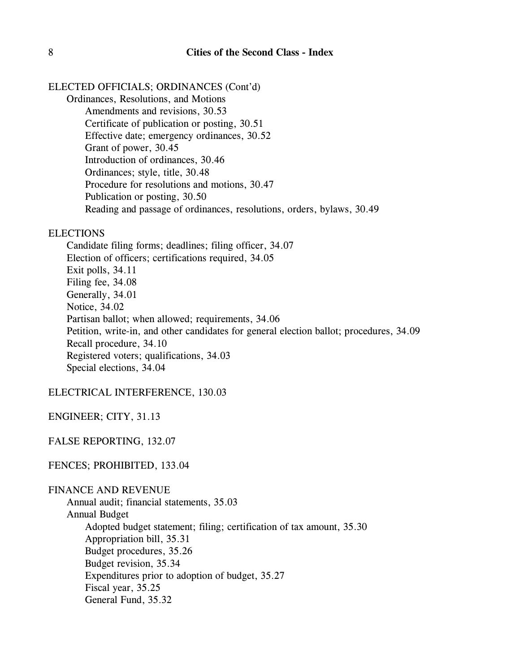# ELECTED OFFICIALS; ORDINANCES (Cont'd)

Ordinances, Resolutions, and Motions Amendments and revisions, 30.53 Certificate of publication or posting, 30.51 Effective date; emergency ordinances, 30.52 Grant of power, 30.45 Introduction of ordinances, 30.46 Ordinances; style, title, 30.48 Procedure for resolutions and motions, 30.47 Publication or posting, 30.50 Reading and passage of ordinances, resolutions, orders, bylaws, 30.49

## **ELECTIONS**

Candidate filing forms; deadlines; filing officer, 34.07 Election of officers; certifications required, 34.05 Exit polls, 34.11 Filing fee, 34.08 Generally, 34.01 Notice, 34.02 Partisan ballot; when allowed; requirements, 34.06 Petition, write-in, and other candidates for general election ballot; procedures, 34.09 Recall procedure, 34.10 Registered voters; qualifications, 34.03 Special elections, 34.04

ELECTRICAL INTERFERENCE, 130.03

ENGINEER; CITY, 31.13

FALSE REPORTING, 132.07

FENCES; PROHIBITED, 133.04

## FINANCE AND REVENUE

Annual audit; financial statements, 35.03 Annual Budget Adopted budget statement; filing; certification of tax amount, 35.30 Appropriation bill, 35.31 Budget procedures, 35.26 Budget revision, 35.34 Expenditures prior to adoption of budget, 35.27 Fiscal year, 35.25 General Fund, 35.32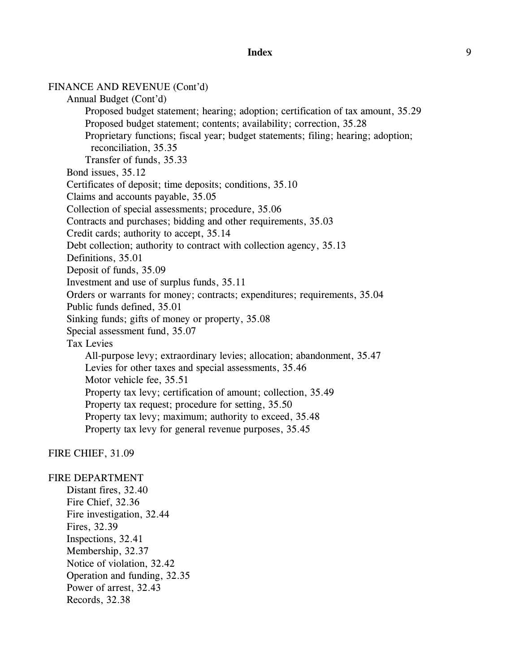FINANCE AND REVENUE (Cont'd) Annual Budget (Cont'd) Proposed budget statement; hearing; adoption; certification of tax amount, 35.29 Proposed budget statement; contents; availability; correction, 35.28 Proprietary functions; fiscal year; budget statements; filing; hearing; adoption; reconciliation, 35.35 Transfer of funds, 35.33 Bond issues, 35.12 Certificates of deposit; time deposits; conditions, 35.10 Claims and accounts payable, 35.05 Collection of special assessments; procedure, 35.06 Contracts and purchases; bidding and other requirements, 35.03 Credit cards; authority to accept, 35.14 Debt collection; authority to contract with collection agency, 35.13 Definitions, 35.01 Deposit of funds, 35.09 Investment and use of surplus funds, 35.11 Orders or warrants for money; contracts; expenditures; requirements, 35.04 Public funds defined, 35.01 Sinking funds; gifts of money or property, 35.08 Special assessment fund, 35.07 Tax Levies All-purpose levy; extraordinary levies; allocation; abandonment, 35.47 Levies for other taxes and special assessments, 35.46 Motor vehicle fee, 35.51 Property tax levy; certification of amount; collection, 35.49 Property tax request; procedure for setting, 35.50 Property tax levy; maximum; authority to exceed, 35.48 Property tax levy for general revenue purposes, 35.45

### FIRE CHIEF, 31.09

## FIRE DEPARTMENT

Distant fires, 32.40 Fire Chief, 32.36 Fire investigation, 32.44 Fires, 32.39 Inspections, 32.41 Membership, 32.37 Notice of violation, 32.42 Operation and funding, 32.35 Power of arrest, 32.43 Records, 32.38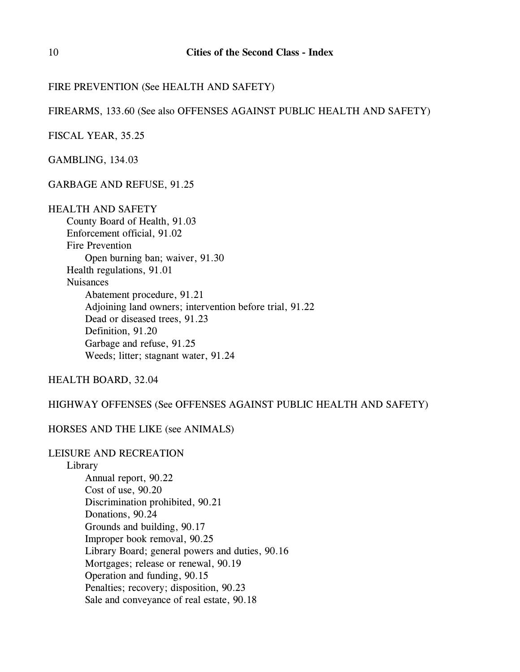# FIRE PREVENTION (See HEALTH AND SAFETY)

FIREARMS, 133.60 (See also OFFENSES AGAINST PUBLIC HEALTH AND SAFETY)

FISCAL YEAR, 35.25

GAMBLING, 134.03

GARBAGE AND REFUSE, 91.25

HEALTH AND SAFETY

County Board of Health, 91.03 Enforcement official, 91.02 Fire Prevention Open burning ban; waiver, 91.30 Health regulations, 91.01 Nuisances Abatement procedure, 91.21 Adjoining land owners; intervention before trial, 91.22 Dead or diseased trees, 91.23 Definition, 91.20 Garbage and refuse, 91.25 Weeds; litter; stagnant water, 91.24

HEALTH BOARD, 32.04

HIGHWAY OFFENSES (See OFFENSES AGAINST PUBLIC HEALTH AND SAFETY)

## HORSES AND THE LIKE (see ANIMALS)

## LEISURE AND RECREATION

Library

Annual report, 90.22 Cost of use, 90.20 Discrimination prohibited, 90.21 Donations, 90.24 Grounds and building, 90.17 Improper book removal, 90.25 Library Board; general powers and duties, 90.16 Mortgages; release or renewal, 90.19 Operation and funding, 90.15 Penalties; recovery; disposition, 90.23 Sale and conveyance of real estate, 90.18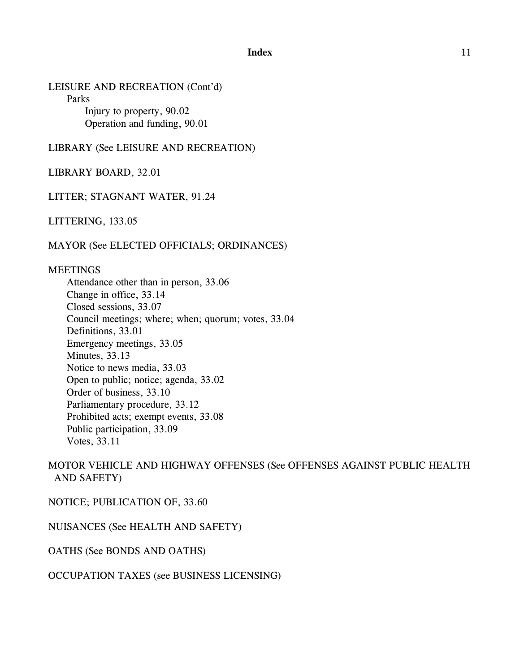## LEISURE AND RECREATION (Cont'd)

Parks

Injury to property, 90.02 Operation and funding, 90.01

LIBRARY (See LEISURE AND RECREATION)

LIBRARY BOARD, 32.01

# LITTER; STAGNANT WATER, 91.24

LITTERING, 133.05

MAYOR (See ELECTED OFFICIALS; ORDINANCES)

#### MEETINGS

Attendance other than in person, 33.06 Change in office, 33.14 Closed sessions, 33.07 Council meetings; where; when; quorum; votes, 33.04 Definitions, 33.01 Emergency meetings, 33.05 Minutes, 33.13 Notice to news media, 33.03 Open to public; notice; agenda, 33.02 Order of business, 33.10 Parliamentary procedure, 33.12 Prohibited acts; exempt events, 33.08 Public participation, 33.09 Votes, 33.11

# MOTOR VEHICLE AND HIGHWAY OFFENSES (See OFFENSES AGAINST PUBLIC HEALTH AND SAFETY)

NOTICE; PUBLICATION OF, 33.60

NUISANCES (See HEALTH AND SAFETY)

OATHS (See BONDS AND OATHS)

#### OCCUPATION TAXES (see BUSINESS LICENSING)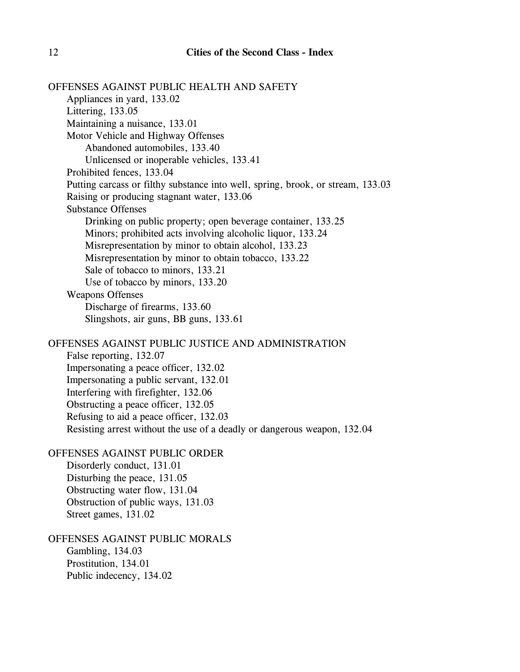OFFENSES AGAINST PUBLIC HEALTH AND SAFETY Appliances in yard, 133.02 Littering, 133.05 Maintaining a nuisance, 133.01 Motor Vehicle and Highway Offenses Abandoned automobiles, 133.40 Unlicensed or inoperable vehicles, 133.41 Prohibited fences, 133.04 Putting carcass or filthy substance into well, spring, brook, or stream, 133.03 Raising or producing stagnant water, 133.06 Substance Offenses Drinking on public property; open beverage container, 133.25 Minors; prohibited acts involving alcoholic liquor, 133.24 Misrepresentation by minor to obtain alcohol, 133.23 Misrepresentation by minor to obtain tobacco, 133.22 Sale of tobacco to minors, 133.21 Use of tobacco by minors, 133.20 Weapons Offenses Discharge of firearms, 133.60 Slingshots, air guns, BB guns, 133.61 OFFENSES AGAINST PUBLIC JUSTICE AND ADMINISTRATION False reporting, 132.07 Impersonating a peace officer, 132.02 Impersonating a public servant, 132.01 Interfering with firefighter, 132.06 Obstructing a peace officer, 132.05 Refusing to aid a peace officer, 132.03 Resisting arrest without the use of a deadly or dangerous weapon, 132.04 OFFENSES AGAINST PUBLIC ORDER Disorderly conduct, 131.01 Disturbing the peace, 131.05 Obstructing water flow, 131.04 Obstruction of public ways, 131.03 Street games, 131.02 OFFENSES AGAINST PUBLIC MORALS Gambling, 134.03 Prostitution, 134.01 Public indecency, 134.02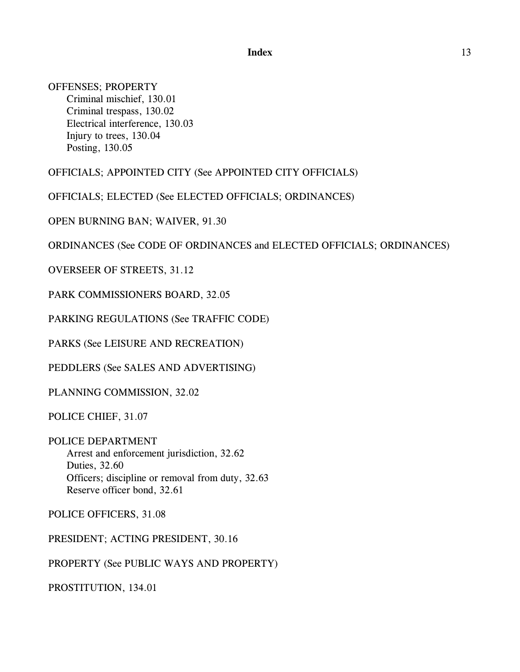OFFENSES; PROPERTY Criminal mischief, 130.01 Criminal trespass, 130.02 Electrical interference, 130.03 Injury to trees, 130.04 Posting, 130.05

OFFICIALS; APPOINTED CITY (See APPOINTED CITY OFFICIALS)

OFFICIALS; ELECTED (See ELECTED OFFICIALS; ORDINANCES)

OPEN BURNING BAN; WAIVER, 91.30

ORDINANCES (See CODE OF ORDINANCES and ELECTED OFFICIALS; ORDINANCES)

OVERSEER OF STREETS, 31.12

PARK COMMISSIONERS BOARD, 32.05

PARKING REGULATIONS (See TRAFFIC CODE)

PARKS (See LEISURE AND RECREATION)

PEDDLERS (See SALES AND ADVERTISING)

PLANNING COMMISSION, 32.02

POLICE CHIEF, 31.07

POLICE DEPARTMENT Arrest and enforcement jurisdiction, 32.62 Duties, 32.60 Officers; discipline or removal from duty, 32.63 Reserve officer bond, 32.61

POLICE OFFICERS, 31.08

PRESIDENT; ACTING PRESIDENT, 30.16

PROPERTY (See PUBLIC WAYS AND PROPERTY)

PROSTITUTION, 134.01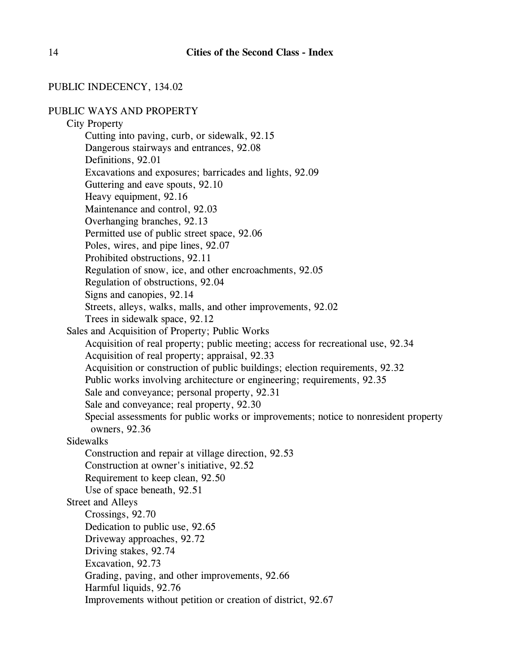## PUBLIC INDECENCY, 134.02

## PUBLIC WAYS AND PROPERTY

City Property Cutting into paving, curb, or sidewalk, 92.15 Dangerous stairways and entrances, 92.08 Definitions, 92.01 Excavations and exposures; barricades and lights, 92.09 Guttering and eave spouts, 92.10 Heavy equipment, 92.16 Maintenance and control, 92.03 Overhanging branches, 92.13 Permitted use of public street space, 92.06 Poles, wires, and pipe lines, 92.07 Prohibited obstructions, 92.11 Regulation of snow, ice, and other encroachments, 92.05 Regulation of obstructions, 92.04 Signs and canopies, 92.14 Streets, alleys, walks, malls, and other improvements, 92.02 Trees in sidewalk space, 92.12 Sales and Acquisition of Property; Public Works Acquisition of real property; public meeting; access for recreational use, 92.34 Acquisition of real property; appraisal, 92.33 Acquisition or construction of public buildings; election requirements, 92.32 Public works involving architecture or engineering; requirements, 92.35 Sale and conveyance; personal property, 92.31 Sale and conveyance; real property, 92.30 Special assessments for public works or improvements; notice to nonresident property owners, 92.36 **Sidewalks** Construction and repair at village direction, 92.53 Construction at owner's initiative, 92.52 Requirement to keep clean, 92.50 Use of space beneath, 92.51 Street and Alleys Crossings, 92.70 Dedication to public use, 92.65 Driveway approaches, 92.72 Driving stakes, 92.74 Excavation, 92.73 Grading, paving, and other improvements, 92.66 Harmful liquids, 92.76 Improvements without petition or creation of district, 92.67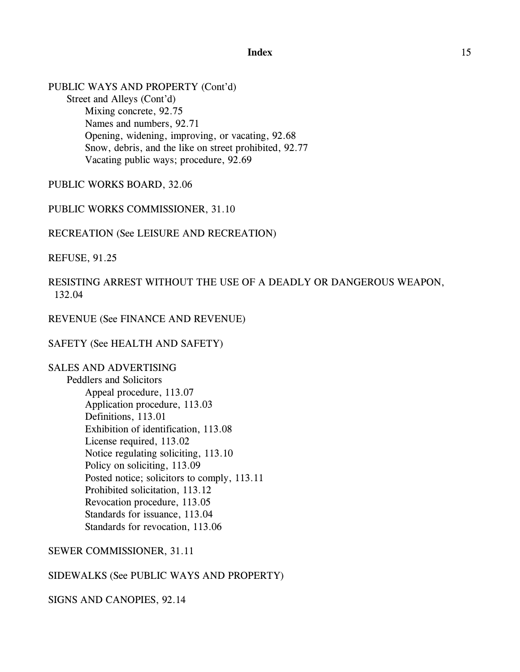PUBLIC WAYS AND PROPERTY (Cont'd) Street and Alleys (Cont'd) Mixing concrete, 92.75 Names and numbers, 92.71 Opening, widening, improving, or vacating, 92.68 Snow, debris, and the like on street prohibited, 92.77 Vacating public ways; procedure, 92.69

PUBLIC WORKS BOARD, 32.06

PUBLIC WORKS COMMISSIONER, 31.10

RECREATION (See LEISURE AND RECREATION)

REFUSE, 91.25

# RESISTING ARREST WITHOUT THE USE OF A DEADLY OR DANGEROUS WEAPON, 132.04

REVENUE (See FINANCE AND REVENUE)

SAFETY (See HEALTH AND SAFETY)

## SALES AND ADVERTISING

Peddlers and Solicitors Appeal procedure, 113.07 Application procedure, 113.03 Definitions, 113.01 Exhibition of identification, 113.08 License required, 113.02 Notice regulating soliciting, 113.10 Policy on soliciting, 113.09 Posted notice; solicitors to comply, 113.11 Prohibited solicitation, 113.12 Revocation procedure, 113.05 Standards for issuance, 113.04 Standards for revocation, 113.06

## SEWER COMMISSIONER, 31.11

#### SIDEWALKS (See PUBLIC WAYS AND PROPERTY)

SIGNS AND CANOPIES, 92.14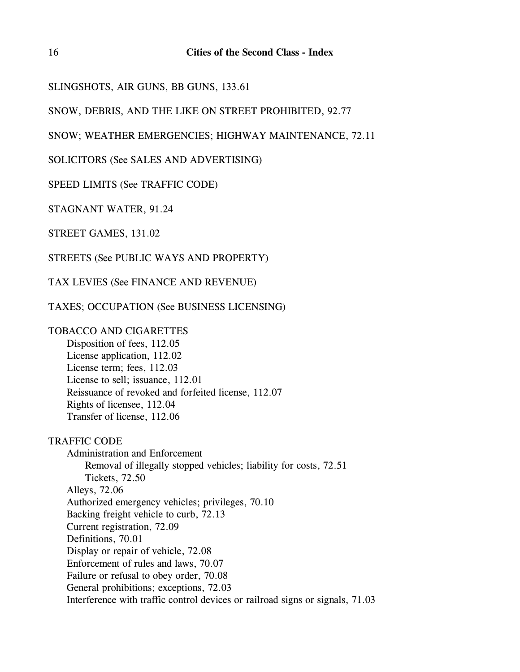```
SLINGSHOTS, AIR GUNS, BB GUNS, 133.61
```
SNOW, DEBRIS, AND THE LIKE ON STREET PROHIBITED, 92.77

SNOW; WEATHER EMERGENCIES; HIGHWAY MAINTENANCE, 72.11

SOLICITORS (See SALES AND ADVERTISING)

SPEED LIMITS (See TRAFFIC CODE)

STAGNANT WATER, 91.24

STREET GAMES, 131.02

STREETS (See PUBLIC WAYS AND PROPERTY)

TAX LEVIES (See FINANCE AND REVENUE)

TAXES; OCCUPATION (See BUSINESS LICENSING)

# TOBACCO AND CIGARETTES

Disposition of fees, 112.05 License application, 112.02 License term; fees, 112.03 License to sell; issuance, 112.01 Reissuance of revoked and forfeited license, 112.07 Rights of licensee, 112.04 Transfer of license, 112.06

TRAFFIC CODE

Administration and Enforcement Removal of illegally stopped vehicles; liability for costs, 72.51 Tickets, 72.50 Alleys, 72.06 Authorized emergency vehicles; privileges, 70.10 Backing freight vehicle to curb, 72.13 Current registration, 72.09 Definitions, 70.01 Display or repair of vehicle, 72.08 Enforcement of rules and laws, 70.07 Failure or refusal to obey order, 70.08 General prohibitions; exceptions, 72.03 Interference with traffic control devices or railroad signs or signals, 71.03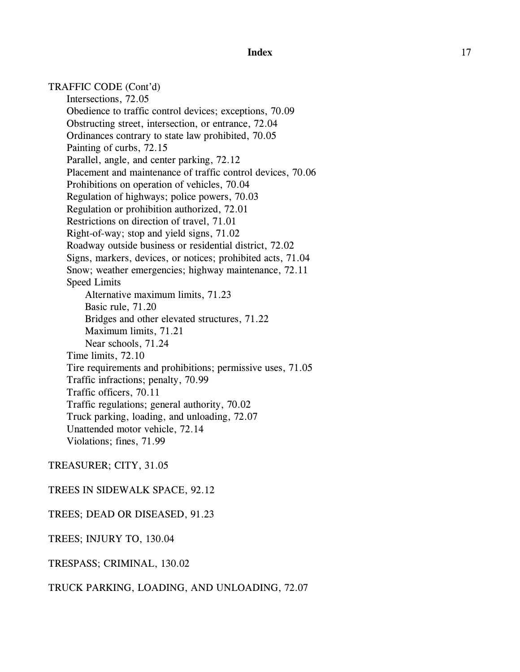TRAFFIC CODE (Cont'd) Intersections, 72.05 Obedience to traffic control devices; exceptions, 70.09 Obstructing street, intersection, or entrance, 72.04 Ordinances contrary to state law prohibited, 70.05 Painting of curbs, 72.15 Parallel, angle, and center parking, 72.12 Placement and maintenance of traffic control devices, 70.06 Prohibitions on operation of vehicles, 70.04 Regulation of highways; police powers, 70.03 Regulation or prohibition authorized, 72.01 Restrictions on direction of travel, 71.01 Right-of-way; stop and yield signs, 71.02 Roadway outside business or residential district, 72.02 Signs, markers, devices, or notices; prohibited acts, 71.04 Snow; weather emergencies; highway maintenance, 72.11 Speed Limits Alternative maximum limits, 71.23 Basic rule, 71.20 Bridges and other elevated structures, 71.22 Maximum limits, 71.21 Near schools, 71.24 Time limits, 72.10 Tire requirements and prohibitions; permissive uses, 71.05 Traffic infractions; penalty, 70.99 Traffic officers, 70.11 Traffic regulations; general authority, 70.02 Truck parking, loading, and unloading, 72.07 Unattended motor vehicle, 72.14 Violations; fines, 71.99

#### TREASURER; CITY, 31.05

#### TREES IN SIDEWALK SPACE, 92.12

#### TREES; DEAD OR DISEASED, 91.23

TREES; INJURY TO, 130.04

TRESPASS; CRIMINAL, 130.02

TRUCK PARKING, LOADING, AND UNLOADING, 72.07